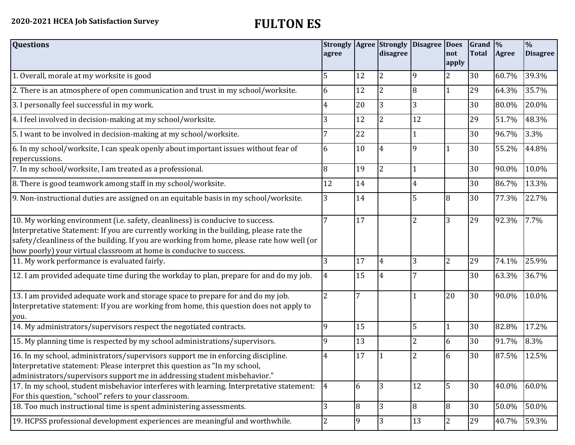| <b>Questions</b>                                                                                                                                                                                                                                                                                                                               | agree          |                | disagree       | Strongly   Agree   Strongly   Disagree   Does | not<br>apply   | Grand $\frac{9}{6}$<br><b>Total</b> | <b>Agree</b> | $\frac{9}{6}$<br><b>Disagree</b> |
|------------------------------------------------------------------------------------------------------------------------------------------------------------------------------------------------------------------------------------------------------------------------------------------------------------------------------------------------|----------------|----------------|----------------|-----------------------------------------------|----------------|-------------------------------------|--------------|----------------------------------|
| 1. Overall, morale at my worksite is good                                                                                                                                                                                                                                                                                                      | 5              | 12             | $\overline{2}$ | $\mathbf{q}$                                  | $\overline{2}$ | 30                                  | 60.7%        | 39.3%                            |
| 2. There is an atmosphere of open communication and trust in my school/worksite.                                                                                                                                                                                                                                                               | 6              | 12             | 2              | 8                                             | $\mathbf{1}$   | 29                                  | 64.3%        | 35.7%                            |
| 3. I personally feel successful in my work.                                                                                                                                                                                                                                                                                                    | 4              | 20             |                | 3                                             |                | 30                                  | 80.0%        | 20.0%                            |
| 4. I feel involved in decision-making at my school/worksite.                                                                                                                                                                                                                                                                                   | 3              | 12             | 2              | 12                                            |                | 29                                  | 51.7%        | 48.3%                            |
| 5. I want to be involved in decision-making at my school/worksite.                                                                                                                                                                                                                                                                             | 7              | 22             |                | 1                                             |                | 30                                  | 96.7%        | 3.3%                             |
| 6. In my school/worksite, I can speak openly about important issues without fear of<br>repercussions.                                                                                                                                                                                                                                          | 6              | 10             | 4              | 9                                             | $\mathbf{1}$   | 30                                  | 55.2%        | 44.8%                            |
| 7. In my school/worksite, I am treated as a professional.                                                                                                                                                                                                                                                                                      | 8              | 19             | $\overline{2}$ | $\mathbf{1}$                                  |                | 30                                  | 90.0%        | 10.0%                            |
| 8. There is good teamwork among staff in my school/worksite.                                                                                                                                                                                                                                                                                   | 12             | 14             |                | $\overline{4}$                                |                | 30                                  | 86.7%        | 13.3%                            |
| 9. Non-instructional duties are assigned on an equitable basis in my school/worksite.                                                                                                                                                                                                                                                          | 3              | 14             |                | 5                                             | 8              | 30                                  | 77.3%        | 22.7%                            |
| 10. My working environment (i.e. safety, cleanliness) is conducive to success.<br>Interpretative Statement: If you are currently working in the building, please rate the<br>safety/cleanliness of the building. If you are working from home, please rate how well (or<br>how poorly) your virtual classroom at home is conducive to success. | 7              | 17             |                | $\overline{2}$                                | 3              | 29                                  | 92.3%        | 7.7%                             |
| 11. My work performance is evaluated fairly.                                                                                                                                                                                                                                                                                                   | 3              | 17             | 4              | 3                                             | $\overline{2}$ | 29                                  | 74.1%        | 25.9%                            |
| 12. I am provided adequate time during the workday to plan, prepare for and do my job.                                                                                                                                                                                                                                                         | $\overline{4}$ | 15             | 4              |                                               |                | 30                                  | 63.3%        | 36.7%                            |
| 13. I am provided adequate work and storage space to prepare for and do my job.<br>Interpretative statement: If you are working from home, this question does not apply to<br>you.                                                                                                                                                             | $\overline{2}$ | 7              |                |                                               | 20             | 30                                  | 90.0%        | 10.0%                            |
| 14. My administrators/supervisors respect the negotiated contracts.                                                                                                                                                                                                                                                                            | 9              | 15             |                | 5                                             | $\mathbf{1}$   | 30                                  | 82.8%        | 17.2%                            |
| 15. My planning time is respected by my school administrations/supervisors.                                                                                                                                                                                                                                                                    | 9              | 13             |                | $\overline{2}$                                | 6              | 30                                  | 91.7%        | 8.3%                             |
| 16. In my school, administrators/supervisors support me in enforcing discipline.<br>Interpretative statement: Please interpret this question as "In my school,<br>administrators/supervisors support me in addressing student misbehavior."                                                                                                    | 4              | 17             |                |                                               | 6              | 30                                  | 87.5%        | 12.5%                            |
| 17. In my school, student misbehavior interferes with learning. Interpretative statement:<br>For this question, "school" refers to your classroom.                                                                                                                                                                                             | $\overline{4}$ | 6              | 3              | 12                                            | 5              | 30                                  | 40.0%        | 60.0%                            |
| 18. Too much instructional time is spent administering assessments.                                                                                                                                                                                                                                                                            | 3              | 8              | 3              | 8                                             | 8              | 30                                  | 50.0%        | 50.0%                            |
| 19. HCPSS professional development experiences are meaningful and worthwhile.                                                                                                                                                                                                                                                                  | $\overline{2}$ | $\overline{9}$ | 3              | 13                                            | $\overline{c}$ | 29                                  | 40.7%        | 59.3%                            |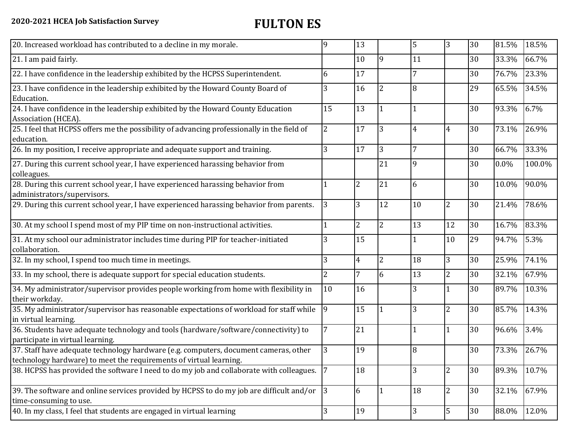| 20. Increased workload has contributed to a decline in my morale.                                                                                          | 9               | 13              |                | 5              | 3              | 30 | 81.5%   | 18.5%  |
|------------------------------------------------------------------------------------------------------------------------------------------------------------|-----------------|-----------------|----------------|----------------|----------------|----|---------|--------|
| 21. I am paid fairly.                                                                                                                                      |                 | 10              | 9              | 11             |                | 30 | 33.3%   | 66.7%  |
| 22. I have confidence in the leadership exhibited by the HCPSS Superintendent.                                                                             | 6               | 17              |                | $\overline{7}$ |                | 30 | 76.7%   | 23.3%  |
| 23. I have confidence in the leadership exhibited by the Howard County Board of<br>Education.                                                              | 3               | 16              | 2              | 8              |                | 29 | 65.5%   | 34.5%  |
| 24. I have confidence in the leadership exhibited by the Howard County Education<br>Association (HCEA).                                                    | 15              | $\overline{13}$ |                | $\mathbf{1}$   |                | 30 | 93.3%   | 6.7%   |
| 25. I feel that HCPSS offers me the possibility of advancing professionally in the field of<br>education.                                                  | $\overline{2}$  | 17              | 3              | $\overline{4}$ | 4              | 30 | 73.1%   | 26.9%  |
| 26. In my position, I receive appropriate and adequate support and training.                                                                               | 3               | 17              | 3              |                |                | 30 | 66.7%   | 33.3%  |
| 27. During this current school year, I have experienced harassing behavior from<br>colleagues.                                                             |                 |                 | 21             | 9              |                | 30 | $0.0\%$ | 100.0% |
| 28. During this current school year, I have experienced harassing behavior from<br>administrators/supervisors.                                             | 1               | $\overline{2}$  | 21             | 6              |                | 30 | 10.0%   | 90.0%  |
| 29. During this current school year, I have experienced harassing behavior from parents.                                                                   | 3               | 3               | 12             | 10             | $\overline{2}$ | 30 | 21.4%   | 78.6%  |
| 30. At my school I spend most of my PIP time on non-instructional activities.                                                                              |                 | $\overline{2}$  | $\overline{2}$ | 13             | 12             | 30 | 16.7%   | 83.3%  |
| 31. At my school our administrator includes time during PIP for teacher-initiated<br>collaboration.                                                        | 3               | 15              |                | 1              | 10             | 29 | 94.7%   | 5.3%   |
| 32. In my school, I spend too much time in meetings.                                                                                                       | 3               | $\overline{4}$  | $\overline{2}$ | 18             | $\overline{3}$ | 30 | 25.9%   | 74.1%  |
| 33. In my school, there is adequate support for special education students.                                                                                | $\overline{2}$  | $\overline{7}$  | 6              | 13             | $\overline{2}$ | 30 | 32.1%   | 67.9%  |
| 34. My administrator/supervisor provides people working from home with flexibility in<br>their workday.                                                    | 10              | 16              |                | 3              | 1              | 30 | 89.7%   | 10.3%  |
| 35. My administrator/supervisor has reasonable expectations of workload for staff while<br>in virtual learning.                                            | $\overline{9}$  | 15              |                | 3              | $\overline{2}$ | 30 | 85.7%   | 14.3%  |
| 36. Students have adequate technology and tools (hardware/software/connectivity) to<br>participate in virtual learning.                                    | $\overline{7}$  | 21              |                | $\mathbf{1}$   | 1              | 30 | 96.6%   | 3.4%   |
| 37. Staff have adequate technology hardware (e.g. computers, document cameras, other<br>technology hardware) to meet the requirements of virtual learning. | 3               | 19              |                | 8              |                | 30 | 73.3%   | 26.7%  |
| 38. HCPSS has provided the software I need to do my job and collaborate with colleagues.                                                                   | $7\overline{ }$ | 18              |                | 3              | $\overline{2}$ | 30 | 89.3%   | 10.7%  |
| 39. The software and online services provided by HCPSS to do my job are difficult and/or<br>time-consuming to use.                                         | 3               | 6               | $\mathbf{1}$   | 18             | $\overline{2}$ | 30 | 32.1%   | 67.9%  |
| 40. In my class, I feel that students are engaged in virtual learning                                                                                      | 3               | 19              |                | 3              | $\sqrt{5}$     | 30 | 88.0%   | 12.0%  |
|                                                                                                                                                            |                 |                 |                |                |                |    |         |        |